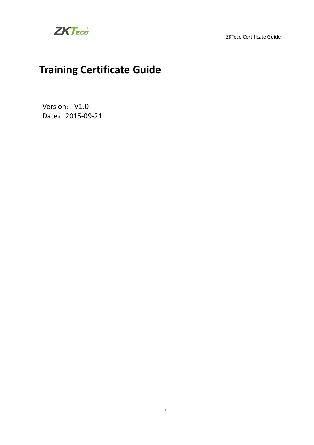

## **Training Certificate Guide**

Version: V1.0 Date: 2015-09-21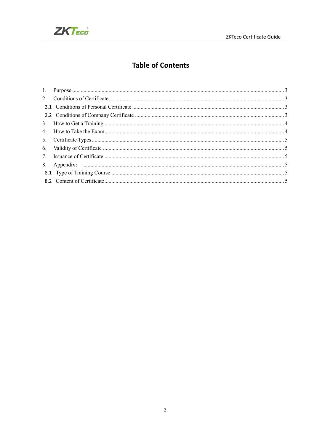

### **Table of Contents**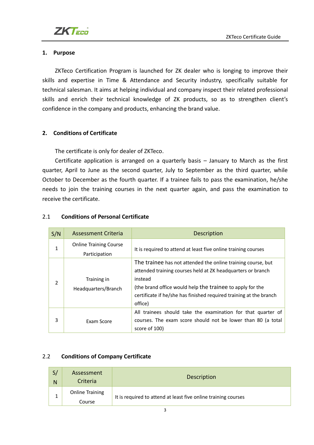

#### **1. Purpose**

ZKTeco Certification Program is launched for ZK dealer who is longing to improve their skills and expertise in Time & Attendance and Security industry, specifically suitable for technical salesman. It aims at helping individual and company inspect their related professional skills and enrich their technical knowledge of ZK products, so as to strengthen client's confidence in the company and products, enhancing the brand value.

#### **2. Conditions of Certificate**

The certificate is only for dealer of ZKTeco.

Certificate application is arranged on a quarterly basis  $-$  January to March as the first quarter, April to June as the second quarter, July to September as the third quarter, while October to December as the fourth quarter. If a trainee fails to pass the examination, he/she needs to join the training courses in the next quarter again, and pass the examination to receive the certificate.

| S/N | Assessment Criteria                            | <b>Description</b>                                                                                                                                                                                                                                                                   |
|-----|------------------------------------------------|--------------------------------------------------------------------------------------------------------------------------------------------------------------------------------------------------------------------------------------------------------------------------------------|
| 1   | <b>Online Training Course</b><br>Participation | It is required to attend at least five online training courses                                                                                                                                                                                                                       |
|     | Training in<br>Headquarters/Branch             | The trainee has not attended the online training course, but<br>attended training courses held at ZK headquarters or branch<br>instead<br>(the brand office would help the trainee to apply for the<br>certificate if he/she has finished required training at the branch<br>office) |
| 3   | Exam Score                                     | All trainees should take the examination for that quarter of<br>courses. The exam score should not be lower than 80 (a total<br>score of 100)                                                                                                                                        |

#### 2.1 **Conditions of Personal Certificate**

#### 2.2 **Conditions of Company Certificate**

| S/<br>N | Assessment<br>Criteria           | <b>Description</b>                                             |
|---------|----------------------------------|----------------------------------------------------------------|
|         | <b>Online Training</b><br>Course | It is required to attend at least five online training courses |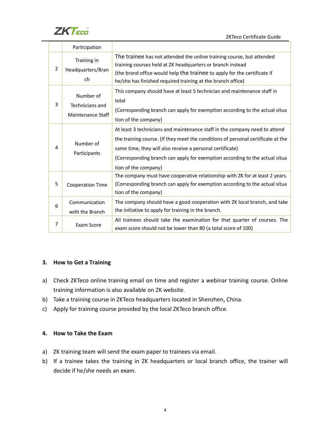

ZKTeco Certificate Guide

|   | Participation                                            |                                                                                                                                                                                                                                                                                                                                    |
|---|----------------------------------------------------------|------------------------------------------------------------------------------------------------------------------------------------------------------------------------------------------------------------------------------------------------------------------------------------------------------------------------------------|
| 2 | Training in<br>Headquarters/Bran<br>ch                   | The trainee has not attended the online training course, but attended<br>training courses held at ZK headquarters or branch instead<br>(the brand office would help the trainee to apply for the certificate if<br>he/she has finished required training at the branch office)                                                     |
| 3 | Number of<br>Technicians and<br><b>Maintenance Staff</b> | This company should have at least 5 technician and maintenance staff in<br>total<br>(Corresponding branch can apply for exemption according to the actual situa<br>tion of the company)                                                                                                                                            |
| 4 | Number of<br>Participants                                | At least 3 technicians and maintenance staff in the company need to attend<br>the training course. (If they meet the conditions of personal certificate at the<br>same time, they will also receive a personal certificate)<br>(Corresponding branch can apply for exemption according to the actual situa<br>tion of the company) |
| 5 | Cooperation Time                                         | The company must have cooperative relationship with ZK for at least 2 years.<br>(Corresponding branch can apply for exemption according to the actual situa<br>tion of the company)                                                                                                                                                |
| 6 | Communication<br>with the Branch                         | The company should have a good cooperation with ZK local branch, and take<br>the initiative to apply for training in the branch.                                                                                                                                                                                                   |
| 7 | Exam Score                                               | All trainees should take the examination for that quarter of courses. The<br>exam score should not be lower than 80 (a total score of 100)                                                                                                                                                                                         |

#### **3. How to Get a Training**

- a) Check ZKTeco online training email on time and register a webinar training course. Online training information is also available on ZK website.
- b) Take a training course in ZKTeco headquarters located in Shenzhen, China.
- c) Apply for training course provided by the local ZKTeco branch office.

#### **4. How to Take the Exam**

- a) ZK training team will send the exam paper to trainees via email.
- b) If a trainee takes the training in ZK headquarters or local branch office, the trainer will decide if he/she needs an exam.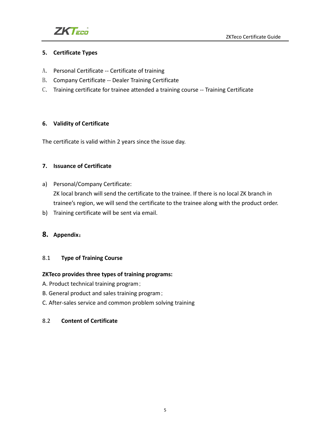

#### **5. Certificate Types**

- A. Personal Certificate -- Certificate of training
- B. Company Certificate -- Dealer Training Certificate
- C. Training certificate for trainee attended a training course -- Training Certificate

#### **6. Validity of Certificate**

The certificate is valid within 2 years since the issue day.

#### **7. Issuance of Certificate**

- a) Personal/Company Certificate: ZK local branch will send the certificate to the trainee. If there is no local ZK branch in trainee's region, we will send the certificate to the trainee along with the product order.
- b) Training certificate will be sent via email.

#### **8. Appendix**:

#### 8.1 **Type of Training Course**

#### **ZKTeco provides three types of training programs:**

- A. Product technical training program;
- B. General product and sales training program;
- C. After-sales service and common problem solving training

#### 8.2 **Content of Certificate**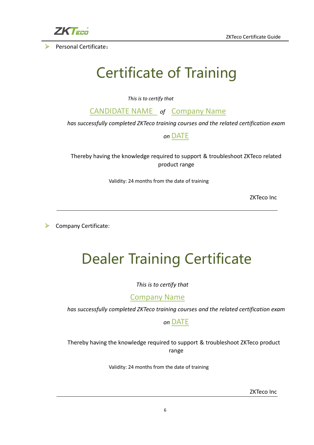

ZKTeco Certificate Guide

Personal Certificate:

# Certificate of Training

*This is to certify that*

CANDIDATE NAME *of* Company Name

*has successfully completed ZKTeco training courses and the related certification exam*

### *on* DATE

Thereby having the knowledge required to support & troubleshoot ZKTeco related product range

Validity: 24 months from the date of training

ZKTeco Inc

¾ Company Certificate:

# Dealer Training Certificate

*This is to certify that*

Company Name

*has successfully completed ZKTeco training courses and the related certification exam*

*on* DATE

Thereby having the knowledge required to support & troubleshoot ZKTeco product range

Validity: 24 months from the date of training

ZKTeco Inc